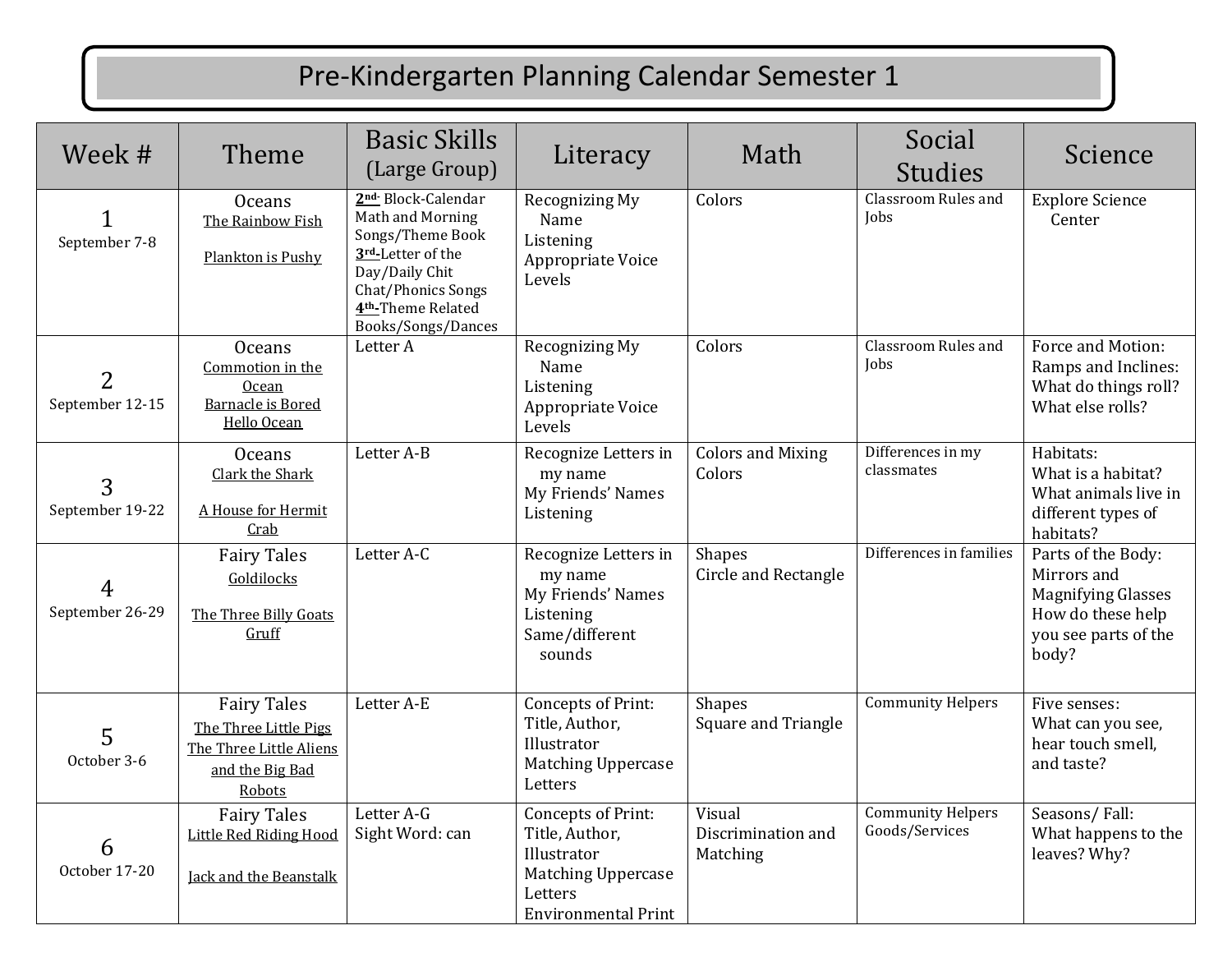## Pre-Kindergarten Planning Calendar Semester 1

| Week #                            | Theme                                                                                               | <b>Basic Skills</b><br>(Large Group)                                                                                                                                                        | Literacy                                                                                                                  | Math                                         | Social<br><b>Studies</b>                   | Science                                                                                                              |
|-----------------------------------|-----------------------------------------------------------------------------------------------------|---------------------------------------------------------------------------------------------------------------------------------------------------------------------------------------------|---------------------------------------------------------------------------------------------------------------------------|----------------------------------------------|--------------------------------------------|----------------------------------------------------------------------------------------------------------------------|
| September 7-8                     | <b>Oceans</b><br>The Rainbow Fish<br>Plankton is Pushy                                              | 2 <sup>nd</sup> Block-Calendar<br>Math and Morning<br>Songs/Theme Book<br>3rd-Letter of the<br>Day/Daily Chit<br>Chat/Phonics Songs<br>4 <sup>th</sup> -Theme Related<br>Books/Songs/Dances | <b>Recognizing My</b><br>Name<br>Listening<br>Appropriate Voice<br>Levels                                                 | Colors                                       | Classroom Rules and<br><b>Iobs</b>         | <b>Explore Science</b><br>Center                                                                                     |
| $\overline{2}$<br>September 12-15 | <b>Oceans</b><br>Commotion in the<br><b>Ocean</b><br><b>Barnacle is Bored</b><br>Hello Ocean        | Letter A                                                                                                                                                                                    | Recognizing My<br>Name<br>Listening<br>Appropriate Voice<br>Levels                                                        | Colors                                       | Classroom Rules and<br>Jobs                | Force and Motion:<br>Ramps and Inclines:<br>What do things roll?<br>What else rolls?                                 |
| 3<br>September 19-22              | <b>Oceans</b><br>Clark the Shark<br>A House for Hermit<br>Crab                                      | Letter A-B                                                                                                                                                                                  | Recognize Letters in<br>my name<br>My Friends' Names<br>Listening                                                         | <b>Colors and Mixing</b><br>Colors           | Differences in my<br>classmates            | Habitats:<br>What is a habitat?<br>What animals live in<br>different types of<br>habitats?                           |
| 4<br>September 26-29              | <b>Fairy Tales</b><br>Goldilocks<br>The Three Billy Goats<br>Gruff                                  | Letter A-C                                                                                                                                                                                  | Recognize Letters in<br>my name<br>My Friends' Names<br>Listening<br>Same/different<br>sounds                             | <b>Shapes</b><br><b>Circle and Rectangle</b> | Differences in families                    | Parts of the Body:<br>Mirrors and<br><b>Magnifying Glasses</b><br>How do these help<br>you see parts of the<br>body? |
| 5<br>October 3-6                  | <b>Fairy Tales</b><br>The Three Little Pigs<br>The Three Little Aliens<br>and the Big Bad<br>Robots | Letter A-E                                                                                                                                                                                  | Concepts of Print:<br>Title, Author,<br>Illustrator<br><b>Matching Uppercase</b><br>Letters                               | <b>Shapes</b><br>Square and Triangle         | <b>Community Helpers</b>                   | Five senses:<br>What can you see,<br>hear touch smell.<br>and taste?                                                 |
| 6<br>October 17-20                | <b>Fairy Tales</b><br>Little Red Riding Hood<br>Jack and the Beanstalk                              | Letter A-G<br>Sight Word: can                                                                                                                                                               | Concepts of Print:<br>Title, Author,<br>Illustrator<br><b>Matching Uppercase</b><br>Letters<br><b>Environmental Print</b> | Visual<br>Discrimination and<br>Matching     | <b>Community Helpers</b><br>Goods/Services | Seasons/Fall:<br>What happens to the<br>leaves? Why?                                                                 |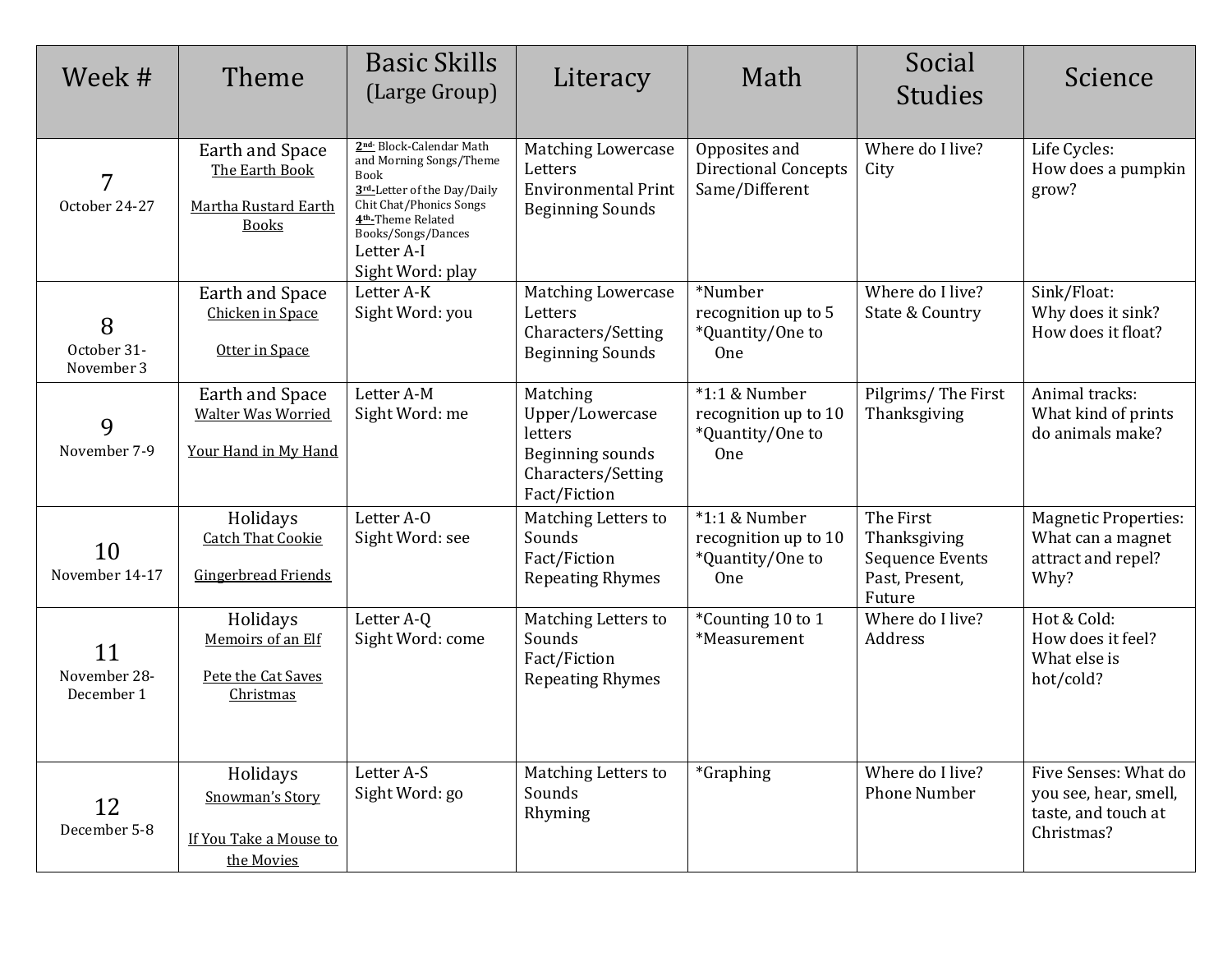| Week #                           | Theme                                                                       | <b>Basic Skills</b><br>(Large Group)                                                                                                                                                                                  | Literacy                                                                                         | Math                                                               | Social<br><b>Studies</b>                                                        | Science                                                                            |
|----------------------------------|-----------------------------------------------------------------------------|-----------------------------------------------------------------------------------------------------------------------------------------------------------------------------------------------------------------------|--------------------------------------------------------------------------------------------------|--------------------------------------------------------------------|---------------------------------------------------------------------------------|------------------------------------------------------------------------------------|
| 7<br>October 24-27               | Earth and Space<br>The Earth Book<br>Martha Rustard Earth<br><b>Books</b>   | 2nd Block-Calendar Math<br>and Morning Songs/Theme<br><b>Book</b><br>3rd-Letter of the Day/Daily<br>Chit Chat/Phonics Songs<br>4 <sup>th</sup> -Theme Related<br>Books/Songs/Dances<br>Letter A-I<br>Sight Word: play | <b>Matching Lowercase</b><br>Letters<br><b>Environmental Print</b><br><b>Beginning Sounds</b>    | Opposites and<br><b>Directional Concepts</b><br>Same/Different     | Where do I live?<br>City                                                        | Life Cycles:<br>How does a pumpkin<br>grow?                                        |
| 8<br>October 31-<br>November 3   | Earth and Space<br>Chicken in Space<br>Otter in Space                       | Letter A-K<br>Sight Word: you                                                                                                                                                                                         | <b>Matching Lowercase</b><br>Letters<br>Characters/Setting<br><b>Beginning Sounds</b>            | *Number<br>recognition up to 5<br>*Quantity/One to<br><b>One</b>   | Where do I live?<br>State & Country                                             | Sink/Float:<br>Why does it sink?<br>How does it float?                             |
| 9<br>November 7-9                | <b>Earth and Space</b><br><b>Walter Was Worried</b><br>Your Hand in My Hand | Letter A-M<br>Sight Word: me                                                                                                                                                                                          | Matching<br>Upper/Lowercase<br>letters<br>Beginning sounds<br>Characters/Setting<br>Fact/Fiction | $*1:1$ & Number<br>recognition up to 10<br>*Quantity/One to<br>One | Pilgrims/The First<br>Thanksgiving                                              | Animal tracks:<br>What kind of prints<br>do animals make?                          |
| 10<br>November 14-17             | Holidays<br><b>Catch That Cookie</b><br>Gingerbread Friends                 | Letter A-O<br>Sight Word: see                                                                                                                                                                                         | Matching Letters to<br>Sounds<br>Fact/Fiction<br><b>Repeating Rhymes</b>                         | $*1:1$ & Number<br>recognition up to 10<br>*Quantity/One to<br>One | The First<br>Thanksgiving<br><b>Sequence Events</b><br>Past, Present,<br>Future | <b>Magnetic Properties:</b><br>What can a magnet<br>attract and repel?<br>Why?     |
| 11<br>November 28-<br>December 1 | Holidays<br>Memoirs of an Elf<br>Pete the Cat Saves<br>Christmas            | Letter A-Q<br>Sight Word: come                                                                                                                                                                                        | Matching Letters to<br>Sounds<br>Fact/Fiction<br><b>Repeating Rhymes</b>                         | *Counting 10 to 1<br>*Measurement                                  | Where do I live?<br>Address                                                     | Hot & Cold:<br>How does it feel?<br>What else is<br>hot/cold?                      |
| 12<br>December 5-8               | Holidays<br>Snowman's Story<br>If You Take a Mouse to<br>the Movies         | Letter A-S<br>Sight Word: go                                                                                                                                                                                          | Matching Letters to<br>Sounds<br>Rhyming                                                         | <i>*</i> Graphing                                                  | Where do I live?<br><b>Phone Number</b>                                         | Five Senses: What do<br>you see, hear, smell,<br>taste, and touch at<br>Christmas? |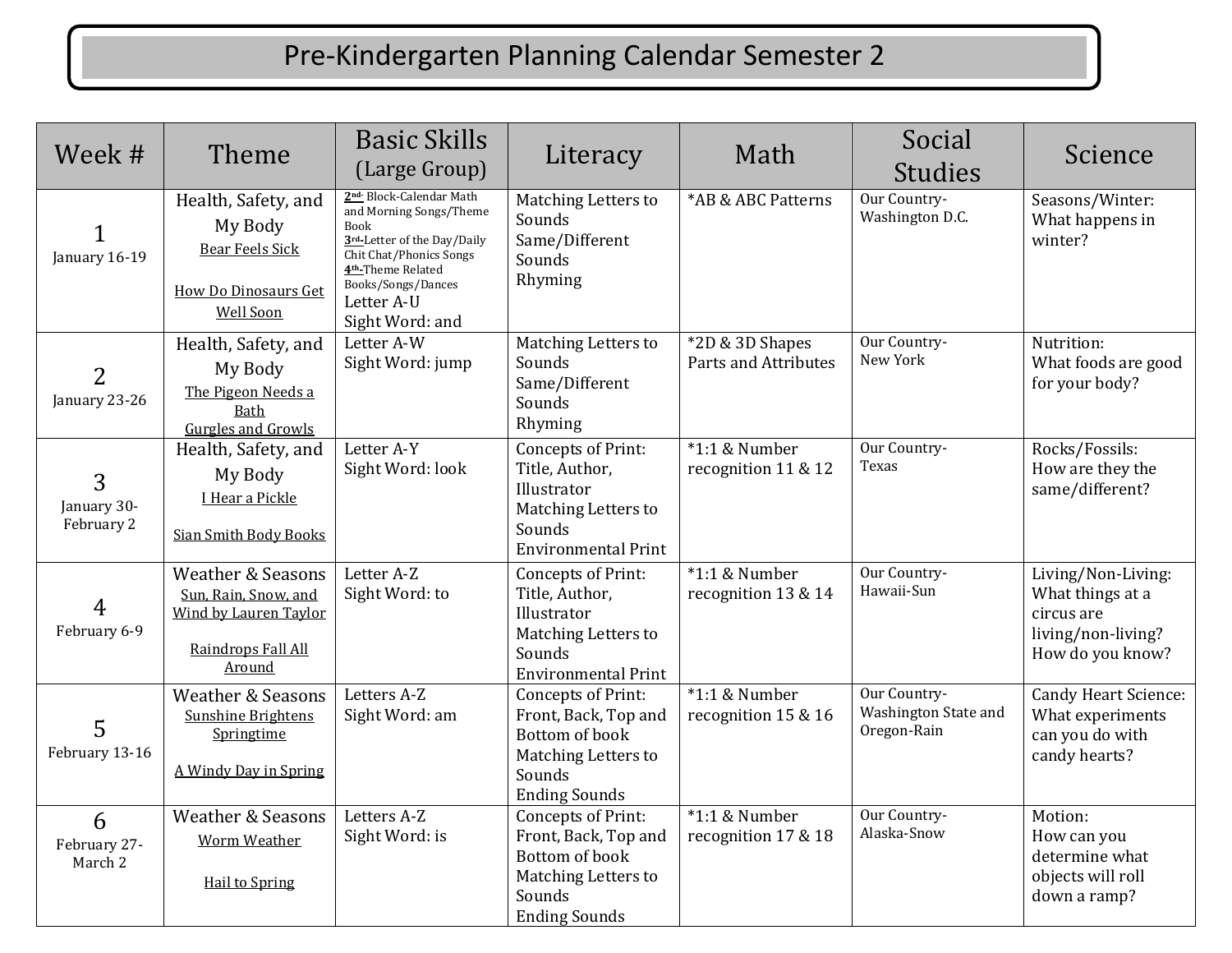## Pre-Kindergarten Planning Calendar Semester 2

| Week #                          | Theme                                                                                                         | <b>Basic Skills</b><br>(Large Group)                                                                                                                                                                                             | Literacy                                                                                                                  | Math                                    | Social<br><b>Studies</b>                            | Science                                                                                        |
|---------------------------------|---------------------------------------------------------------------------------------------------------------|----------------------------------------------------------------------------------------------------------------------------------------------------------------------------------------------------------------------------------|---------------------------------------------------------------------------------------------------------------------------|-----------------------------------------|-----------------------------------------------------|------------------------------------------------------------------------------------------------|
| January 16-19                   | Health, Safety, and<br>My Body<br><b>Bear Feels Sick</b><br><b>How Do Dinosaurs Get</b><br><b>Well Soon</b>   | 2 <sup>nd</sup> Block-Calendar Math<br>and Morning Songs/Theme<br><b>Book</b><br>3rd-Letter of the Day/Daily<br>Chit Chat/Phonics Songs<br>4 <sup>th</sup> -Theme Related<br>Books/Songs/Dances<br>Letter A-U<br>Sight Word: and | Matching Letters to<br>Sounds<br>Same/Different<br>Sounds<br>Rhyming                                                      | *AB & ABC Patterns                      | Our Country-<br>Washington D.C.                     | Seasons/Winter:<br>What happens in<br>winter?                                                  |
| $\overline{2}$<br>January 23-26 | Health, Safety, and<br>My Body<br>The Pigeon Needs a<br>Bath<br><b>Gurgles and Growls</b>                     | Letter A-W<br>Sight Word: jump                                                                                                                                                                                                   | Matching Letters to<br>Sounds<br>Same/Different<br>Sounds<br>Rhyming                                                      | *2D & 3D Shapes<br>Parts and Attributes | Our Country-<br>New York                            | Nutrition:<br>What foods are good<br>for your body?                                            |
| 3<br>January 30-<br>February 2  | Health, Safety, and<br>My Body<br>I Hear a Pickle<br><b>Sian Smith Body Books</b>                             | Letter A-Y<br>Sight Word: look                                                                                                                                                                                                   | Concepts of Print:<br>Title, Author,<br>Illustrator<br><b>Matching Letters to</b><br>Sounds<br><b>Environmental Print</b> | *1:1 & Number<br>recognition 11 & 12    | Our Country-<br>Texas                               | Rocks/Fossils:<br>How are they the<br>same/different?                                          |
| $\overline{4}$<br>February 6-9  | <b>Weather &amp; Seasons</b><br>Sun, Rain, Snow, and<br>Wind by Lauren Taylor<br>Raindrops Fall All<br>Around | Letter A-Z<br>Sight Word: to                                                                                                                                                                                                     | Concepts of Print:<br>Title, Author,<br>Illustrator<br>Matching Letters to<br>Sounds<br><b>Environmental Print</b>        | *1:1 & Number<br>recognition 13 & 14    | Our Country-<br>Hawaii-Sun                          | Living/Non-Living:<br>What things at a<br>circus are<br>living/non-living?<br>How do you know? |
| 5<br>February 13-16             | <b>Weather &amp; Seasons</b><br><b>Sunshine Brightens</b><br>Springtime<br>A Windy Day in Spring              | Letters A-Z<br>Sight Word: am                                                                                                                                                                                                    | Concepts of Print:<br>Front, Back, Top and<br>Bottom of book<br>Matching Letters to<br>Sounds<br><b>Ending Sounds</b>     | $*1:1$ & Number<br>recognition 15 & 16  | Our Country-<br>Washington State and<br>Oregon-Rain | Candy Heart Science:<br>What experiments<br>can you do with<br>candy hearts?                   |
| 6<br>February 27-<br>March 2    | <b>Weather &amp; Seasons</b><br><b>Worm Weather</b><br><b>Hail to Spring</b>                                  | Letters A-Z<br>Sight Word: is                                                                                                                                                                                                    | Concepts of Print:<br>Front, Back, Top and<br>Bottom of book<br>Matching Letters to<br>Sounds<br><b>Ending Sounds</b>     | *1:1 & Number<br>recognition 17 & 18    | Our Country-<br>Alaska-Snow                         | Motion:<br>How can you<br>determine what<br>objects will roll<br>down a ramp?                  |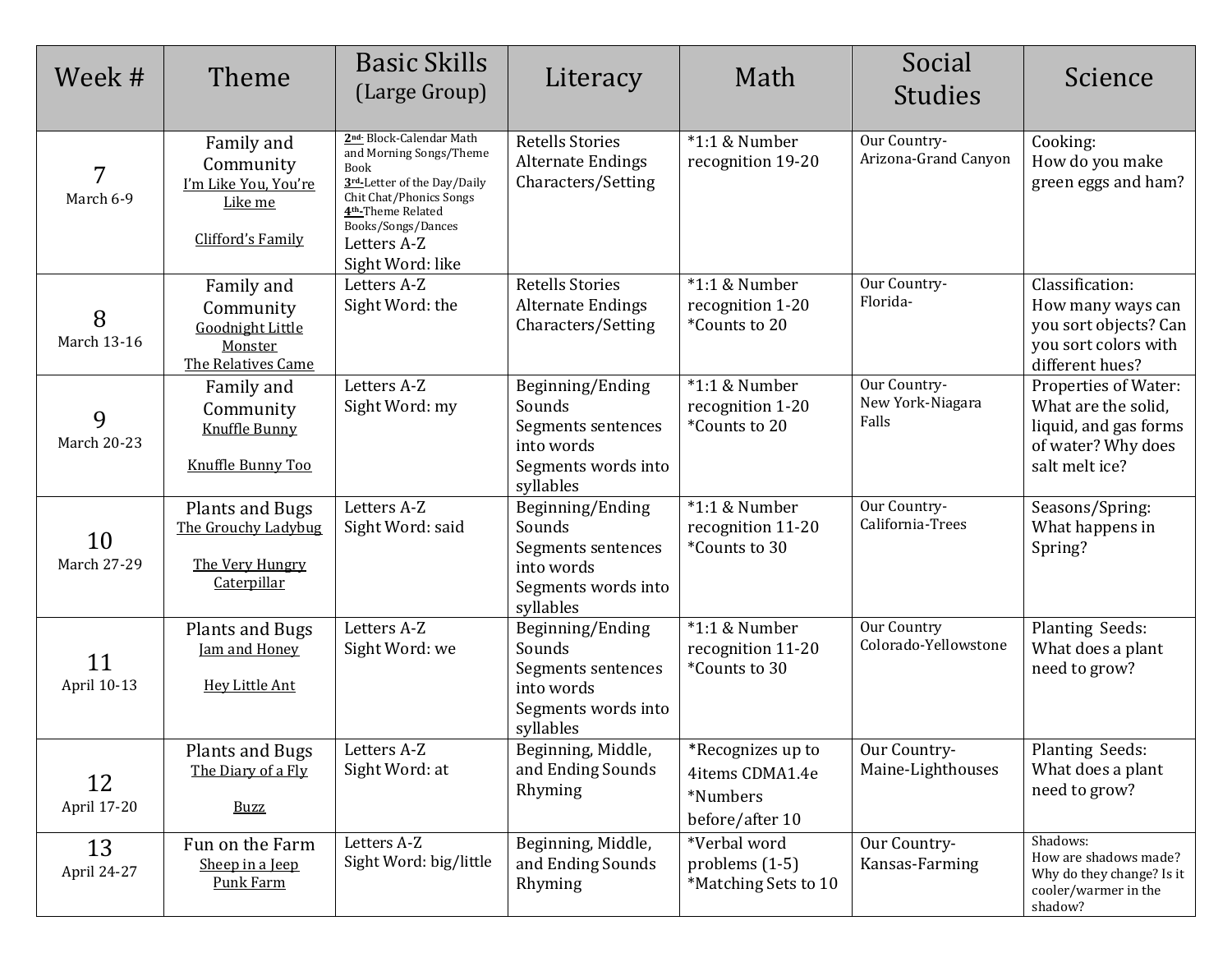| Week #                  | Theme                                                                               | <b>Basic Skills</b><br>(Large Group)                                                                                                                                                                                        | Literacy                                                                                           | Math                                                                | Social<br><b>Studies</b>                  | Science                                                                                                      |
|-------------------------|-------------------------------------------------------------------------------------|-----------------------------------------------------------------------------------------------------------------------------------------------------------------------------------------------------------------------------|----------------------------------------------------------------------------------------------------|---------------------------------------------------------------------|-------------------------------------------|--------------------------------------------------------------------------------------------------------------|
| 7<br>March 6-9          | Family and<br>Community<br>I'm Like You, You're<br>Like me<br>Clifford's Family     | 2 <sup>nd</sup> Block-Calendar Math<br>and Morning Songs/Theme<br>Book<br>3rd-Letter of the Day/Daily<br>Chit Chat/Phonics Songs<br>4 <sup>th</sup> -Theme Related<br>Books/Songs/Dances<br>Letters A-Z<br>Sight Word: like | <b>Retells Stories</b><br><b>Alternate Endings</b><br>Characters/Setting                           | $*1:1$ & Number<br>recognition 19-20                                | Our Country-<br>Arizona-Grand Canyon      | Cooking:<br>How do you make<br>green eggs and ham?                                                           |
| 8<br><b>March 13-16</b> | Family and<br>Community<br><b>Goodnight Little</b><br>Monster<br>The Relatives Came | Letters A-Z<br>Sight Word: the                                                                                                                                                                                              | <b>Retells Stories</b><br><b>Alternate Endings</b><br>Characters/Setting                           | $*1:1$ & Number<br>recognition 1-20<br>*Counts to 20                | Our Country-<br>Florida-                  | Classification:<br>How many ways can<br>you sort objects? Can<br>you sort colors with<br>different hues?     |
| 9<br><b>March 20-23</b> | Family and<br>Community<br><b>Knuffle Bunny</b><br>Knuffle Bunny Too                | Letters A-Z<br>Sight Word: my                                                                                                                                                                                               | Beginning/Ending<br>Sounds<br>Segments sentences<br>into words<br>Segments words into<br>syllables | $*1:1$ & Number<br>recognition 1-20<br>*Counts to 20                | Our Country-<br>New York-Niagara<br>Falls | Properties of Water:<br>What are the solid,<br>liquid, and gas forms<br>of water? Why does<br>salt melt ice? |
| 10<br>March 27-29       | Plants and Bugs<br>The Grouchy Ladybug<br>The Very Hungry<br>Caterpillar            | Letters A-Z<br>Sight Word: said                                                                                                                                                                                             | Beginning/Ending<br>Sounds<br>Segments sentences<br>into words<br>Segments words into<br>syllables | $*1:1$ & Number<br>recognition 11-20<br>*Counts to 30               | Our Country-<br>California-Trees          | Seasons/Spring:<br>What happens in<br>Spring?                                                                |
| 11<br>April 10-13       | <b>Plants and Bugs</b><br>Jam and Honey<br><b>Hey Little Ant</b>                    | Letters A-Z<br>Sight Word: we                                                                                                                                                                                               | Beginning/Ending<br>Sounds<br>Segments sentences<br>into words<br>Segments words into<br>syllables | $*1:1$ & Number<br>recognition 11-20<br>*Counts to 30               | Our Country<br>Colorado-Yellowstone       | Planting Seeds:<br>What does a plant<br>need to grow?                                                        |
| 12<br>April 17-20       | Plants and Bugs<br>The Diary of a Fly<br><b>Buzz</b>                                | Letters A-Z<br>Sight Word: at                                                                                                                                                                                               | Beginning, Middle,<br>and Ending Sounds<br>Rhyming                                                 | *Recognizes up to<br>4items CDMA1.4e<br>*Numbers<br>before/after 10 | Our Country-<br>Maine-Lighthouses         | Planting Seeds:<br>What does a plant<br>need to grow?                                                        |
| 13<br>April 24-27       | Fun on the Farm<br>Sheep in a Jeep<br><b>Punk Farm</b>                              | Letters A-Z<br>Sight Word: big/little                                                                                                                                                                                       | Beginning, Middle,<br>and Ending Sounds<br>Rhyming                                                 | *Verbal word<br>problems (1-5)<br>*Matching Sets to 10              | Our Country-<br>Kansas-Farming            | Shadows:<br>How are shadows made?<br>Why do they change? Is it<br>cooler/warmer in the<br>shadow?            |